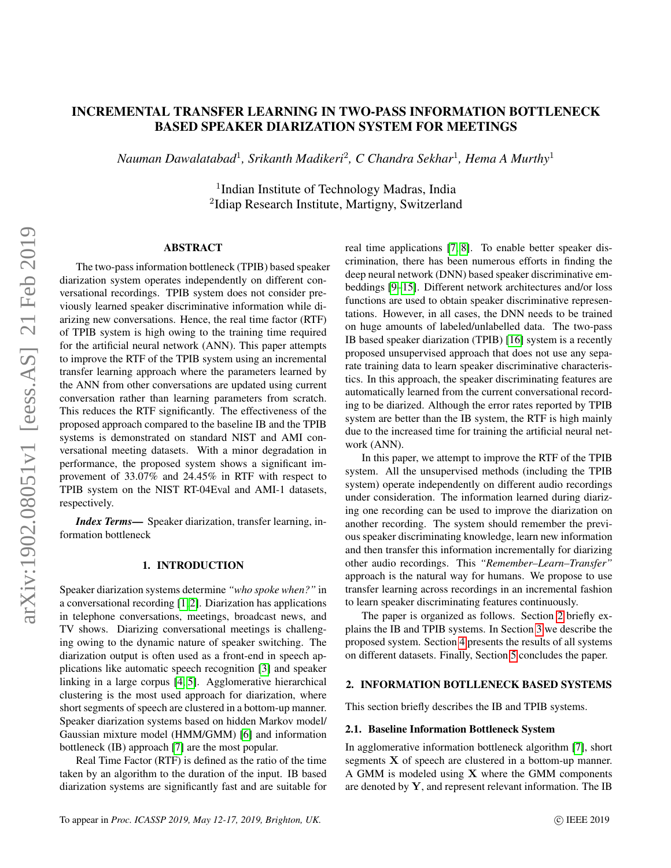# INCREMENTAL TRANSFER LEARNING IN TWO-PASS INFORMATION BOTTLENECK BASED SPEAKER DIARIZATION SYSTEM FOR MEETINGS

*Nauman Dawalatabad*<sup>1</sup> *, Srikanth Madikeri*<sup>2</sup> *, C Chandra Sekhar*<sup>1</sup> *, Hema A Murthy*<sup>1</sup>

<sup>1</sup>Indian Institute of Technology Madras, India <sup>2</sup>Idiap Research Institute, Martigny, Switzerland

## ABSTRACT

The two-pass information bottleneck (TPIB) based speaker diarization system operates independently on different conversational recordings. TPIB system does not consider previously learned speaker discriminative information while diarizing new conversations. Hence, the real time factor (RTF) of TPIB system is high owing to the training time required for the artificial neural network (ANN). This paper attempts to improve the RTF of the TPIB system using an incremental transfer learning approach where the parameters learned by the ANN from other conversations are updated using current conversation rather than learning parameters from scratch. This reduces the RTF significantly. The effectiveness of the proposed approach compared to the baseline IB and the TPIB systems is demonstrated on standard NIST and AMI conversational meeting datasets. With a minor degradation in performance, the proposed system shows a significant improvement of 33.07% and 24.45% in RTF with respect to TPIB system on the NIST RT-04Eval and AMI-1 datasets, respectively.

*Index Terms*— Speaker diarization, transfer learning, information bottleneck

#### 1. INTRODUCTION

Speaker diarization systems determine *"who spoke when?"* in a conversational recording [\[1,](#page-4-0) [2\]](#page-4-1). Diarization has applications in telephone conversations, meetings, broadcast news, and TV shows. Diarizing conversational meetings is challenging owing to the dynamic nature of speaker switching. The diarization output is often used as a front-end in speech applications like automatic speech recognition [\[3\]](#page-4-2) and speaker linking in a large corpus [\[4,](#page-4-3) [5\]](#page-4-4). Agglomerative hierarchical clustering is the most used approach for diarization, where short segments of speech are clustered in a bottom-up manner. Speaker diarization systems based on hidden Markov model/ Gaussian mixture model (HMM/GMM) [\[6\]](#page-4-5) and information bottleneck (IB) approach [\[7\]](#page-4-6) are the most popular.

Real Time Factor (RTF) is defined as the ratio of the time taken by an algorithm to the duration of the input. IB based diarization systems are significantly fast and are suitable for real time applications [\[7,](#page-4-6) [8\]](#page-4-7). To enable better speaker discrimination, there has been numerous efforts in finding the deep neural network (DNN) based speaker discriminative embeddings [\[9](#page-4-8)[–15\]](#page-4-9). Different network architectures and/or loss functions are used to obtain speaker discriminative representations. However, in all cases, the DNN needs to be trained on huge amounts of labeled/unlabelled data. The two-pass IB based speaker diarization (TPIB) [\[16\]](#page-4-10) system is a recently proposed unsupervised approach that does not use any separate training data to learn speaker discriminative characteristics. In this approach, the speaker discriminating features are automatically learned from the current conversational recording to be diarized. Although the error rates reported by TPIB system are better than the IB system, the RTF is high mainly due to the increased time for training the artificial neural network (ANN).

In this paper, we attempt to improve the RTF of the TPIB system. All the unsupervised methods (including the TPIB system) operate independently on different audio recordings under consideration. The information learned during diarizing one recording can be used to improve the diarization on another recording. The system should remember the previous speaker discriminating knowledge, learn new information and then transfer this information incrementally for diarizing other audio recordings. This *"Remember–Learn–Transfer"* approach is the natural way for humans. We propose to use transfer learning across recordings in an incremental fashion to learn speaker discriminating features continuously.

The paper is organized as follows. Section [2](#page-0-0) briefly explains the IB and TPIB systems. In Section [3](#page-1-0) we describe the proposed system. Section [4](#page-2-0) presents the results of all systems on different datasets. Finally, Section [5](#page-3-0) concludes the paper.

#### <span id="page-0-0"></span>2. INFORMATION BOTLLENECK BASED SYSTEMS

This section briefly describes the IB and TPIB systems.

#### 2.1. Baseline Information Bottleneck System

In agglomerative information bottleneck algorithm [\[7\]](#page-4-6), short segments X of speech are clustered in a bottom-up manner. A GMM is modeled using X where the GMM components are denoted by Y, and represent relevant information. The IB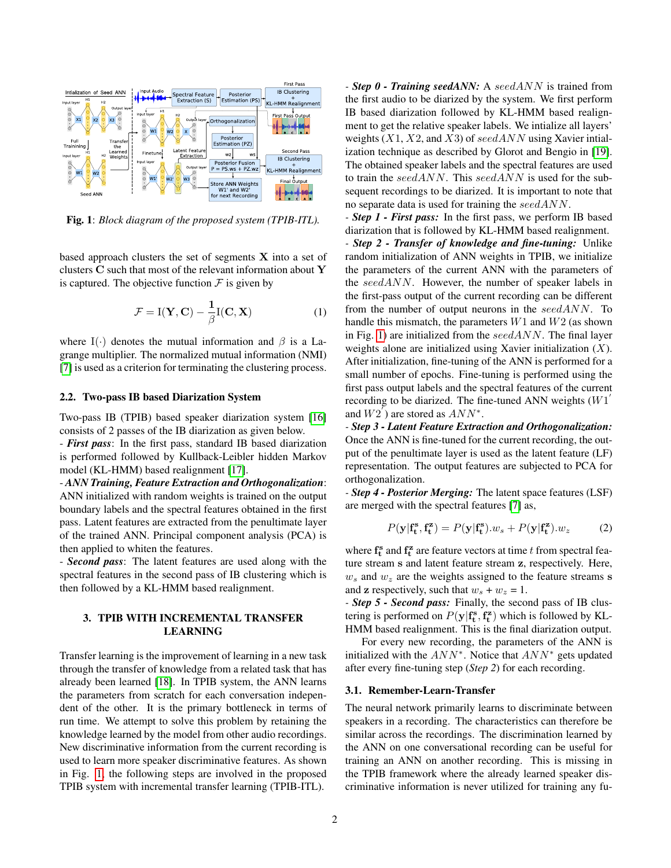<span id="page-1-1"></span>

Fig. 1: *Block diagram of the proposed system (TPIB-ITL).*

based approach clusters the set of segments  $X$  into a set of clusters C such that most of the relevant information about Y is captured. The objective function  $\mathcal F$  is given by

$$
\mathcal{F} = \mathbf{I}(\mathbf{Y}, \mathbf{C}) - \frac{1}{\beta} \mathbf{I}(\mathbf{C}, \mathbf{X})
$$
 (1)

where I(·) denotes the mutual information and  $\beta$  is a Lagrange multiplier. The normalized mutual information (NMI) [\[7\]](#page-4-6) is used as a criterion for terminating the clustering process.

## 2.2. Two-pass IB based Diarization System

Two-pass IB (TPIB) based speaker diarization system [\[16\]](#page-4-10) consists of 2 passes of the IB diarization as given below.

- *First pass*: In the first pass, standard IB based diarization is performed followed by Kullback-Leibler hidden Markov model (KL-HMM) based realignment [\[17\]](#page-4-11).

- *ANN Training, Feature Extraction and Orthogonalization*: ANN initialized with random weights is trained on the output boundary labels and the spectral features obtained in the first pass. Latent features are extracted from the penultimate layer of the trained ANN. Principal component analysis (PCA) is then applied to whiten the features.

- *Second pass*: The latent features are used along with the spectral features in the second pass of IB clustering which is then followed by a KL-HMM based realignment.

## <span id="page-1-0"></span>3. TPIB WITH INCREMENTAL TRANSFER LEARNING

Transfer learning is the improvement of learning in a new task through the transfer of knowledge from a related task that has already been learned [\[18\]](#page-4-12). In TPIB system, the ANN learns the parameters from scratch for each conversation independent of the other. It is the primary bottleneck in terms of run time. We attempt to solve this problem by retaining the knowledge learned by the model from other audio recordings. New discriminative information from the current recording is used to learn more speaker discriminative features. As shown in Fig. [1,](#page-1-1) the following steps are involved in the proposed TPIB system with incremental transfer learning (TPIB-ITL).

*- Step 0 - Training seedANN:* A seedANN is trained from the first audio to be diarized by the system. We first perform IB based diarization followed by KL-HMM based realignment to get the relative speaker labels. We intialize all layers' weights  $(X1, X2, \text{and } X3)$  of seed ANN using Xavier intialization technique as described by Glorot and Bengio in [\[19\]](#page-4-13). The obtained speaker labels and the spectral features are used to train the seedANN. This seedANN is used for the subsequent recordings to be diarized. It is important to note that no separate data is used for training the seedANN.

*- Step 1 - First pass:* In the first pass, we perform IB based diarization that is followed by KL-HMM based realignment. *- Step 2 - Transfer of knowledge and fine-tuning:* Unlike random initialization of ANN weights in TPIB, we initialize the parameters of the current ANN with the parameters of the seedANN. However, the number of speaker labels in the first-pass output of the current recording can be different from the number of output neurons in the seedANN. To handle this mismatch, the parameters  $W1$  and  $W2$  (as shown in Fig. [1\)](#page-1-1) are initialized from the  $seedANN$ . The final layer weights alone are initialized using Xavier initialization  $(X)$ . After initialization, fine-tuning of the ANN is performed for a small number of epochs. Fine-tuning is performed using the first pass output labels and the spectral features of the current recording to be diarized. The fine-tuned ANN weights  $(W1)$ and  $W2'$ ) are stored as  $ANN^*$ .

*- Step 3 - Latent Feature Extraction and Orthogonalization:* Once the ANN is fine-tuned for the current recording, the output of the penultimate layer is used as the latent feature (LF) representation. The output features are subjected to PCA for orthogonalization.

*- Step 4 - Posterior Merging:* The latent space features (LSF) are merged with the spectral features [\[7\]](#page-4-6) as,

$$
P(\mathbf{y}|\mathbf{f_t^s}, \mathbf{f_t^z}) = P(\mathbf{y}|\mathbf{f_t^s}).w_s + P(\mathbf{y}|\mathbf{f_t^z}).w_z \tag{2}
$$

where  $f_t^s$  and  $f_t^z$  are feature vectors at time t from spectral feature stream s and latent feature stream z, respectively. Here,  $w_s$  and  $w_z$  are the weights assigned to the feature streams s and **z** respectively, such that  $w_s + w_z = 1$ .

*- Step 5 - Second pass:* Finally, the second pass of IB clustering is performed on  $P(\mathbf{y} | \mathbf{f_t^s}, \mathbf{f_t^z})$  which is followed by KL-HMM based realignment. This is the final diarization output.

For every new recording, the parameters of the ANN is initialized with the  $ANN^*$ . Notice that  $ANN^*$  gets updated after every fine-tuning step (*Step 2*) for each recording.

#### 3.1. Remember-Learn-Transfer

The neural network primarily learns to discriminate between speakers in a recording. The characteristics can therefore be similar across the recordings. The discrimination learned by the ANN on one conversational recording can be useful for training an ANN on another recording. This is missing in the TPIB framework where the already learned speaker discriminative information is never utilized for training any fu-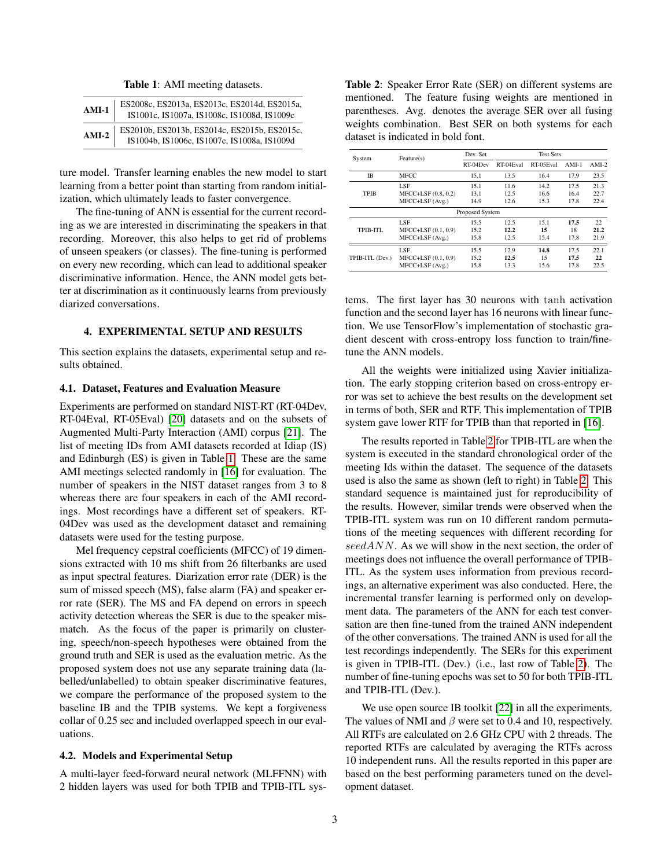Table 1: AMI meeting datasets.

<span id="page-2-1"></span>

| $AMI-1$ | ES2008c, ES2013a, ES2013c, ES2014d, ES2015a,<br>IS1001c, IS1007a, IS1008c, IS1008d, IS1009c |
|---------|---------------------------------------------------------------------------------------------|
| $AMI-2$ | ES2010b, ES2013b, ES2014c, ES2015b, ES2015c,<br>IS1004b, IS1006c, IS1007c, IS1008a, IS1009d |

ture model. Transfer learning enables the new model to start learning from a better point than starting from random initialization, which ultimately leads to faster convergence.

The fine-tuning of ANN is essential for the current recording as we are interested in discriminating the speakers in that recording. Moreover, this also helps to get rid of problems of unseen speakers (or classes). The fine-tuning is performed on every new recording, which can lead to additional speaker discriminative information. Hence, the ANN model gets better at discrimination as it continuously learns from previously diarized conversations.

## <span id="page-2-0"></span>4. EXPERIMENTAL SETUP AND RESULTS

This section explains the datasets, experimental setup and results obtained.

## 4.1. Dataset, Features and Evaluation Measure

Experiments are performed on standard NIST-RT (RT-04Dev, RT-04Eval, RT-05Eval) [\[20\]](#page-4-14) datasets and on the subsets of Augmented Multi-Party Interaction (AMI) corpus [\[21\]](#page-4-15). The list of meeting IDs from AMI datasets recorded at Idiap (IS) and Edinburgh (ES) is given in Table [1.](#page-2-1) These are the same AMI meetings selected randomly in [\[16\]](#page-4-10) for evaluation. The number of speakers in the NIST dataset ranges from 3 to 8 whereas there are four speakers in each of the AMI recordings. Most recordings have a different set of speakers. RT-04Dev was used as the development dataset and remaining datasets were used for the testing purpose.

Mel frequency cepstral coefficients (MFCC) of 19 dimensions extracted with 10 ms shift from 26 filterbanks are used as input spectral features. Diarization error rate (DER) is the sum of missed speech (MS), false alarm (FA) and speaker error rate (SER). The MS and FA depend on errors in speech activity detection whereas the SER is due to the speaker mismatch. As the focus of the paper is primarily on clustering, speech/non-speech hypotheses were obtained from the ground truth and SER is used as the evaluation metric. As the proposed system does not use any separate training data (labelled/unlabelled) to obtain speaker discriminative features, we compare the performance of the proposed system to the baseline IB and the TPIB systems. We kept a forgiveness collar of 0.25 sec and included overlapped speech in our evaluations.

## 4.2. Models and Experimental Setup

A multi-layer feed-forward neural network (MLFFNN) with 2 hidden layers was used for both TPIB and TPIB-ITL sys<span id="page-2-2"></span>Table 2: Speaker Error Rate (SER) on different systems are mentioned. The feature fusing weights are mentioned in parentheses. Avg. denotes the average SER over all fusing weights combination. Best SER on both systems for each dataset is indicated in bold font.

| System          | Feature(s)          | Dev. Set | <b>Test Sets</b> |           |         |         |  |  |  |
|-----------------|---------------------|----------|------------------|-----------|---------|---------|--|--|--|
|                 |                     | RT-04Dev | RT-04Eval        | RT-05Eval | $AMI-1$ | $AMI-2$ |  |  |  |
| IB              | <b>MFCC</b>         | 15.1     | 13.5             | 16.4      | 17.9    | 23.5    |  |  |  |
| <b>TPIB</b>     | LSE                 | 15.1     | 11.6             | 14.2      | 17.5    | 21.3    |  |  |  |
|                 | MFCC+LSF (0.8, 0.2) | 13.1     | 12.5             | 16.6      | 16.4    | 22.7    |  |  |  |
|                 | MFCC+LSF (Avg.)     | 14.9     | 12.6             | 15.3      | 17.8    | 22.4    |  |  |  |
| Proposed System |                     |          |                  |           |         |         |  |  |  |
|                 | LSF                 | 15.5     | 12.5             | 15.1      | 17.5    | 22      |  |  |  |
| TPIB-ITL        | MFCC+LSF (0.1, 0.9) | 15.2     | 12.2             | 15        | 18      | 21.2    |  |  |  |
|                 | MFCC+LSF (Avg.)     | 15.8     | 12.5             | 15.4      | 17.8    | 21.9    |  |  |  |
|                 | LSE                 | 15.5     | 12.9             | 14.8      | 17.5    | 22.1    |  |  |  |
| TPIB-ITL (Dev.) | MFCC+LSF (0.1, 0.9) | 15.2     | 12.5             | 15        | 17.5    | 22      |  |  |  |
|                 | MFCC+LSF (Avg.)     | 15.8     | 13.3             | 15.6      | 17.8    | 22.5    |  |  |  |

tems. The first layer has 30 neurons with tanh activation function and the second layer has 16 neurons with linear function. We use TensorFlow's implementation of stochastic gradient descent with cross-entropy loss function to train/finetune the ANN models.

All the weights were initialized using Xavier initialization. The early stopping criterion based on cross-entropy error was set to achieve the best results on the development set in terms of both, SER and RTF. This implementation of TPIB system gave lower RTF for TPIB than that reported in [\[16\]](#page-4-10).

The results reported in Table [2](#page-2-2) for TPIB-ITL are when the system is executed in the standard chronological order of the meeting Ids within the dataset. The sequence of the datasets used is also the same as shown (left to right) in Table [2.](#page-2-2) This standard sequence is maintained just for reproducibility of the results. However, similar trends were observed when the TPIB-ITL system was run on 10 different random permutations of the meeting sequences with different recording for seedANN. As we will show in the next section, the order of meetings does not influence the overall performance of TPIB-ITL. As the system uses information from previous recordings, an alternative experiment was also conducted. Here, the incremental transfer learning is performed only on development data. The parameters of the ANN for each test conversation are then fine-tuned from the trained ANN independent of the other conversations. The trained ANN is used for all the test recordings independently. The SERs for this experiment is given in TPIB-ITL (Dev.) (i.e., last row of Table [2\)](#page-2-2). The number of fine-tuning epochs was set to 50 for both TPIB-ITL and TPIB-ITL (Dev.).

We use open source IB toolkit [\[22\]](#page-4-16) in all the experiments. The values of NMI and  $\beta$  were set to 0.4 and 10, respectively. All RTFs are calculated on 2.6 GHz CPU with 2 threads. The reported RTFs are calculated by averaging the RTFs across 10 independent runs. All the results reported in this paper are based on the best performing parameters tuned on the development dataset.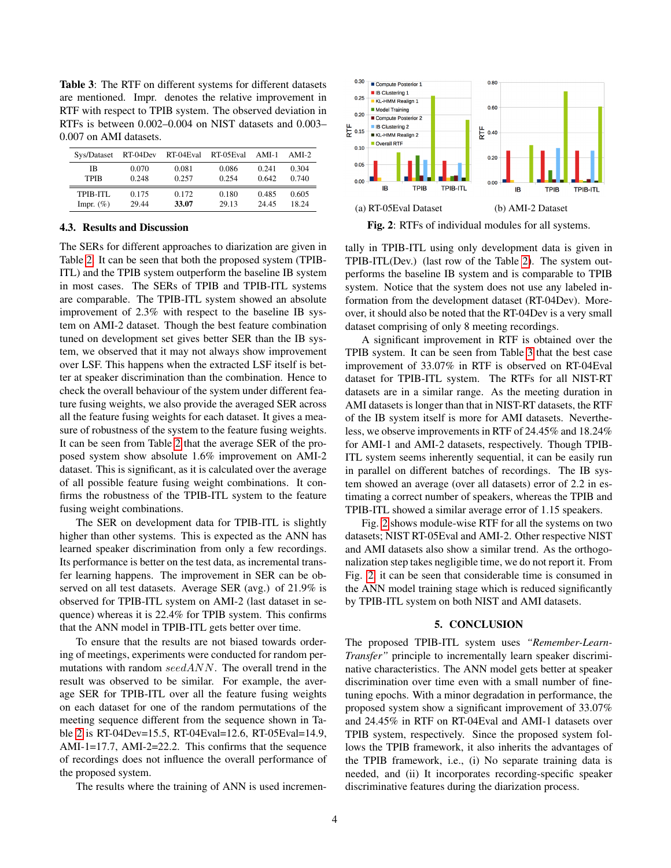<span id="page-3-1"></span>Table 3: The RTF on different systems for different datasets are mentioned. Impr. denotes the relative improvement in RTF with respect to TPIB system. The observed deviation in RTFs is between 0.002–0.004 on NIST datasets and 0.003– 0.007 on AMI datasets.

| Sys/Dataset  | RT-04Dev | RT-04Eval | RT-05Eval | AMI-1 | $AMI-2$ |
|--------------|----------|-----------|-----------|-------|---------|
| ΙB           | 0.070    | 0.081     | 0.086     | 0.241 | 0.304   |
| TPIB         | 0.248    | 0.257     | 0.254     | 0.642 | 0.740   |
| TPIB-ITI.    | 0.175    | 0.172     | 0.180     | 0.485 | 0.605   |
| Impr. $(\%)$ | 29.44    | 33.07     | 29.13     | 24 45 | 18 24   |

#### 4.3. Results and Discussion

The SERs for different approaches to diarization are given in Table [2.](#page-2-2) It can be seen that both the proposed system (TPIB-ITL) and the TPIB system outperform the baseline IB system in most cases. The SERs of TPIB and TPIB-ITL systems are comparable. The TPIB-ITL system showed an absolute improvement of 2.3% with respect to the baseline IB system on AMI-2 dataset. Though the best feature combination tuned on development set gives better SER than the IB system, we observed that it may not always show improvement over LSF. This happens when the extracted LSF itself is better at speaker discrimination than the combination. Hence to check the overall behaviour of the system under different feature fusing weights, we also provide the averaged SER across all the feature fusing weights for each dataset. It gives a measure of robustness of the system to the feature fusing weights. It can be seen from Table [2](#page-2-2) that the average SER of the proposed system show absolute 1.6% improvement on AMI-2 dataset. This is significant, as it is calculated over the average of all possible feature fusing weight combinations. It confirms the robustness of the TPIB-ITL system to the feature fusing weight combinations.

The SER on development data for TPIB-ITL is slightly higher than other systems. This is expected as the ANN has learned speaker discrimination from only a few recordings. Its performance is better on the test data, as incremental transfer learning happens. The improvement in SER can be observed on all test datasets. Average SER (avg.) of 21.9% is observed for TPIB-ITL system on AMI-2 (last dataset in sequence) whereas it is 22.4% for TPIB system. This confirms that the ANN model in TPIB-ITL gets better over time.

To ensure that the results are not biased towards ordering of meetings, experiments were conducted for random permutations with random seedANN. The overall trend in the result was observed to be similar. For example, the average SER for TPIB-ITL over all the feature fusing weights on each dataset for one of the random permutations of the meeting sequence different from the sequence shown in Table [2](#page-2-2) is RT-04Dev=15.5, RT-04Eval=12.6, RT-05Eval=14.9, AMI-1=17.7, AMI-2=22.2. This confirms that the sequence of recordings does not influence the overall performance of the proposed system.

The results where the training of ANN is used incremen-

<span id="page-3-2"></span>

Fig. 2: RTFs of individual modules for all systems.

tally in TPIB-ITL using only development data is given in TPIB-ITL(Dev.) (last row of the Table [2\)](#page-2-2). The system outperforms the baseline IB system and is comparable to TPIB system. Notice that the system does not use any labeled information from the development dataset (RT-04Dev). Moreover, it should also be noted that the RT-04Dev is a very small dataset comprising of only 8 meeting recordings.

A significant improvement in RTF is obtained over the TPIB system. It can be seen from Table [3](#page-3-1) that the best case improvement of 33.07% in RTF is observed on RT-04Eval dataset for TPIB-ITL system. The RTFs for all NIST-RT datasets are in a similar range. As the meeting duration in AMI datasets is longer than that in NIST-RT datasets, the RTF of the IB system itself is more for AMI datasets. Nevertheless, we observe improvements in RTF of 24.45% and 18.24% for AMI-1 and AMI-2 datasets, respectively. Though TPIB-ITL system seems inherently sequential, it can be easily run in parallel on different batches of recordings. The IB system showed an average (over all datasets) error of 2.2 in estimating a correct number of speakers, whereas the TPIB and TPIB-ITL showed a similar average error of 1.15 speakers.

Fig. [2](#page-3-2) shows module-wise RTF for all the systems on two datasets; NIST RT-05Eval and AMI-2. Other respective NIST and AMI datasets also show a similar trend. As the orthogonalization step takes negligible time, we do not report it. From Fig. [2,](#page-3-2) it can be seen that considerable time is consumed in the ANN model training stage which is reduced significantly by TPIB-ITL system on both NIST and AMI datasets.

#### 5. CONCLUSION

<span id="page-3-0"></span>The proposed TPIB-ITL system uses *"Remember-Learn-Transfer"* principle to incrementally learn speaker discriminative characteristics. The ANN model gets better at speaker discrimination over time even with a small number of finetuning epochs. With a minor degradation in performance, the proposed system show a significant improvement of 33.07% and 24.45% in RTF on RT-04Eval and AMI-1 datasets over TPIB system, respectively. Since the proposed system follows the TPIB framework, it also inherits the advantages of the TPIB framework, i.e., (i) No separate training data is needed, and (ii) It incorporates recording-specific speaker discriminative features during the diarization process.